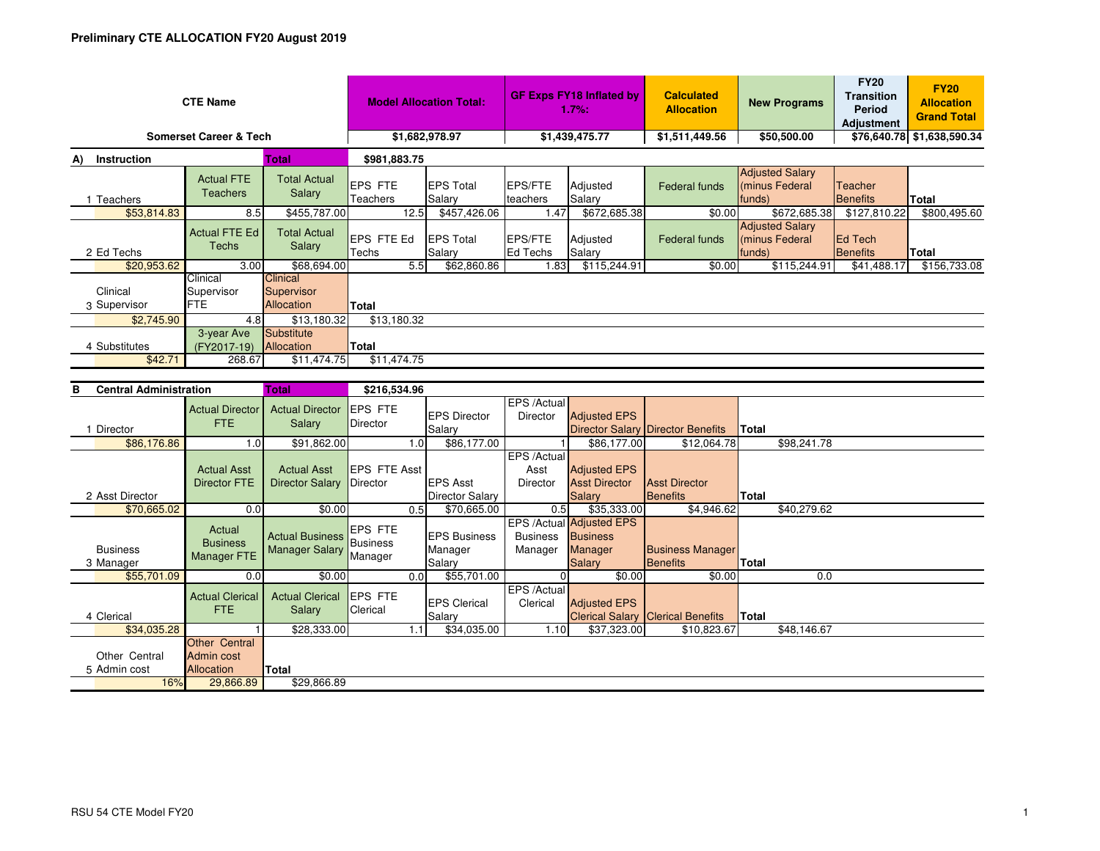| <b>CTE Name</b>                   |                                       |                                                    | <b>Model Allocation Total:</b>    |                            | <b>GF Exps FY18 Inflated by</b><br>$1.7%$ : |                    | <b>Calculated</b><br><b>Allocation</b> | <b>New Programs</b>                                | <b>FY20</b><br><b>Transition</b><br>Period<br><b>Adjustment</b> | <b>FY20</b><br><b>Allocation</b><br><b>Grand Total</b> |
|-----------------------------------|---------------------------------------|----------------------------------------------------|-----------------------------------|----------------------------|---------------------------------------------|--------------------|----------------------------------------|----------------------------------------------------|-----------------------------------------------------------------|--------------------------------------------------------|
| <b>Somerset Career &amp; Tech</b> | \$1,682,978.97                        |                                                    | \$1,439,475.77                    |                            | \$1,511,449.56                              | \$50,500.00        |                                        | \$76,640.78 \$1,638,590.34                         |                                                                 |                                                        |
| Total<br><b>Instruction</b><br>A) |                                       |                                                    | \$981,883.75                      |                            |                                             |                    |                                        |                                                    |                                                                 |                                                        |
| Teachers                          | <b>Actual FTE</b><br><b>Teachers</b>  | <b>Total Actual</b><br><b>Salary</b>               | <b>EPS FTE</b><br><b>Teachers</b> | <b>EPS Total</b><br>Salary | EPS/FTE<br>teachers                         | Adjusted<br>Salary | Federal funds                          | <b>Adjusted Salary</b><br>(minus Federal<br>funds) | <b>Teacher</b><br>Benefits                                      | <b>Total</b>                                           |
| \$53,814.83                       | 8.5                                   | \$455,787.00                                       | 12.5                              | \$457,426.06               | 1.47                                        | \$672,685.38       | \$0.00                                 | \$672,685.38                                       | \$127,810.22                                                    | \$800,495.60                                           |
| 2 Ed Techs                        | <b>Actual FTE Ed</b><br>Techs         | <b>Total Actual</b><br>Salary                      | <b>EPS FTE Ed</b><br>Techs        | <b>EPS Total</b><br>Salary | EPS/FTE<br>Ed Techs                         | Adjusted<br>Salary | Federal funds                          | <b>Adjusted Salary</b><br>(minus Federal<br>funds) | <b>Ed Tech</b><br>Benefits                                      | Total                                                  |
| \$20,953.62                       | 3.00                                  | \$68,694.00                                        | 5.5                               | \$62,860.86                | 1.83                                        | \$115,244.91       | \$0.00                                 | \$115,244.91                                       | \$41,488.17                                                     | \$156,733.08                                           |
| Clinical<br>3 Supervisor          | Clinical<br>Supervisor<br><b>IFTE</b> | <b>Clinical</b><br>Supervisor<br><b>Allocation</b> | <b>Total</b>                      |                            |                                             |                    |                                        |                                                    |                                                                 |                                                        |
| \$2,745.90                        | 4.8                                   | \$13,180.32                                        | \$13,180.32                       |                            |                                             |                    |                                        |                                                    |                                                                 |                                                        |
| 4 Substitutes<br>\$42.71          | 3-year Ave<br>(FY2017-19)<br>268.67   | Substitute<br>Allocation<br>\$11,474.75            | Total<br>\$11,474.75              |                            |                                             |                    |                                        |                                                    |                                                                 |                                                        |

| <b>Central Administration</b><br>в |                                                         | Total                                             | \$216,534.96               |                                 |                                |                                                        |                                          |              |             |
|------------------------------------|---------------------------------------------------------|---------------------------------------------------|----------------------------|---------------------------------|--------------------------------|--------------------------------------------------------|------------------------------------------|--------------|-------------|
|                                    | <b>Actual Director</b><br><b>FTE</b>                    | <b>Actual Director</b><br><b>Salary</b>           | <b>EPS FTE</b><br>Director | <b>EPS Director</b>             | EPS /Actual<br><b>Director</b> | <b>Adjusted EPS</b>                                    |                                          |              |             |
| Director                           |                                                         |                                                   |                            | Salary                          |                                |                                                        | <b>Director Salary Director Benefits</b> | Total        |             |
| \$86,176.86                        | 1.0 <sub>1</sub>                                        | \$91,862.00                                       |                            | \$86,177.00<br>1.0              |                                | \$86,177.00                                            | \$12,064.78                              |              | \$98,241.78 |
|                                    | <b>Actual Asst</b>                                      | <b>Actual Asst</b>                                | <b>EPS FTE Asst</b>        |                                 | EPS /Actual<br>Asst            | <b>Adjusted EPS</b>                                    |                                          |              |             |
|                                    | <b>Director FTE</b>                                     | <b>Director Salary</b>                            | Director                   | <b>EPS Asst</b>                 | <b>Director</b>                | <b>Asst Director</b>                                   | <b>Asst Director</b>                     |              |             |
| 2 Asst Director                    |                                                         |                                                   |                            | <b>Director Salary</b>          |                                | <b>Salary</b>                                          | Benefits                                 | Total        |             |
| \$70,665.02                        | 0.0                                                     | \$0.00                                            |                            | \$70,665.00<br>0.5              | 0.5                            | \$35,333.00                                            | \$4,946.62                               |              | \$40,279.62 |
| <b>Business</b>                    | Actual<br><b>Business</b>                               | Actual Business Business<br><b>Manager Salary</b> | <b>EPS FTE</b>             | <b>EPS Business</b><br>Manager  | <b>Business</b><br>Manager     | EPS /Actual Adjusted EPS<br><b>Business</b><br>Manager | <b>Business Manager</b>                  |              |             |
| 3 Manager                          | Manager FTE                                             |                                                   | Manager                    | Salary                          |                                | <b>Salary</b>                                          | <b>Benefits</b>                          | <b>Total</b> |             |
| \$55,701.09                        | 0.0                                                     | \$0.00                                            |                            | \$55,701.00<br>0.0 <sub>l</sub> |                                | \$0.00                                                 | \$0.00                                   |              | 0.0         |
| 4 Clerical                         | <b>Actual Clerical</b><br><b>FTE</b>                    | <b>Actual Clerical</b><br>Salary                  | <b>EPS FTE</b><br>Clerical | <b>IEPS Clerical</b><br>Salary  | EPS /Actual<br>Clerical        | <b>Adjusted EPS</b>                                    | <b>Clerical Salary Clerical Benefits</b> | <b>Total</b> |             |
| \$34,035.28                        |                                                         | \$28,333.00                                       |                            | \$34,035.00<br>1.1              | 1.10                           | \$37,323.00                                            | \$10,823.67                              |              | \$48,146.67 |
| Other Central<br>5 Admin cost      | <b>Other Central</b><br>Admin cost<br><b>Allocation</b> | Total                                             |                            |                                 |                                |                                                        |                                          |              |             |
| 16%                                | 29,866.89                                               | \$29,866.89                                       |                            |                                 |                                |                                                        |                                          |              |             |